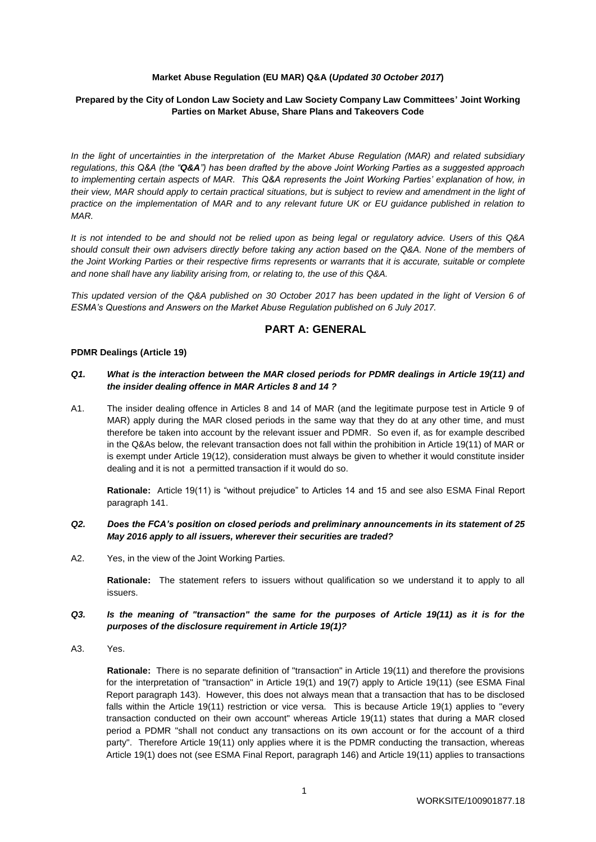## **Market Abuse Regulation (EU MAR) Q&A (***Updated 30 October 2017***)**

# **Prepared by the City of London Law Society and Law Society Company Law Committees' Joint Working Parties on Market Abuse, Share Plans and Takeovers Code**

*In the light of uncertainties in the interpretation of the Market Abuse Regulation (MAR) and related subsidiary regulations, this Q&A (the "Q&A") has been drafted by the above Joint Working Parties as a suggested approach to implementing certain aspects of MAR. This Q&A represents the Joint Working Parties' explanation of how, in their view, MAR should apply to certain practical situations, but is subject to review and amendment in the light of practice on the implementation of MAR and to any relevant future UK or EU guidance published in relation to MAR.*

*It is not intended to be and should not be relied upon as being legal or regulatory advice. Users of this Q&A should consult their own advisers directly before taking any action based on the Q&A. None of the members of the Joint Working Parties or their respective firms represents or warrants that it is accurate, suitable or complete and none shall have any liability arising from, or relating to, the use of this Q&A.*

*This updated version of the Q&A published on 30 October 2017 has been updated in the light of Version 6 of ESMA's Questions and Answers on the Market Abuse Regulation published on 6 July 2017.*

# **PART A: GENERAL**

#### **PDMR Dealings (Article 19)**

### *Q1. What is the interaction between the MAR closed periods for PDMR dealings in Article 19(11) and the insider dealing offence in MAR Articles 8 and 14 ?*

A1. The insider dealing offence in Articles 8 and 14 of MAR (and the legitimate purpose test in Article 9 of MAR) apply during the MAR closed periods in the same way that they do at any other time, and must therefore be taken into account by the relevant issuer and PDMR. So even if, as for example described in the Q&As below, the relevant transaction does not fall within the prohibition in Article 19(11) of MAR or is exempt under Article 19(12), consideration must always be given to whether it would constitute insider dealing and it is not a permitted transaction if it would do so.

**Rationale:** Article 19(11) is "without prejudice" to Articles 14 and 15 and see also ESMA Final Report paragraph 141.

# *Q2. Does the FCA's position on closed periods and preliminary announcements in its statement of 25 May 2016 apply to all issuers, wherever their securities are traded?*

A2. Yes, in the view of the Joint Working Parties.

**Rationale:** The statement refers to issuers without qualification so we understand it to apply to all issuers.

### *Q3. Is the meaning of "transaction" the same for the purposes of Article 19(11) as it is for the purposes of the disclosure requirement in Article 19(1)?*

A3. Yes.

**Rationale:** There is no separate definition of "transaction" in Article 19(11) and therefore the provisions for the interpretation of "transaction" in Article 19(1) and 19(7) apply to Article 19(11) (see ESMA Final Report paragraph 143). However, this does not always mean that a transaction that has to be disclosed falls within the Article 19(11) restriction or vice versa. This is because Article 19(1) applies to "every transaction conducted on their own account" whereas Article 19(11) states that during a MAR closed period a PDMR "shall not conduct any transactions on its own account or for the account of a third party". Therefore Article 19(11) only applies where it is the PDMR conducting the transaction, whereas Article 19(1) does not (see ESMA Final Report, paragraph 146) and Article 19(11) applies to transactions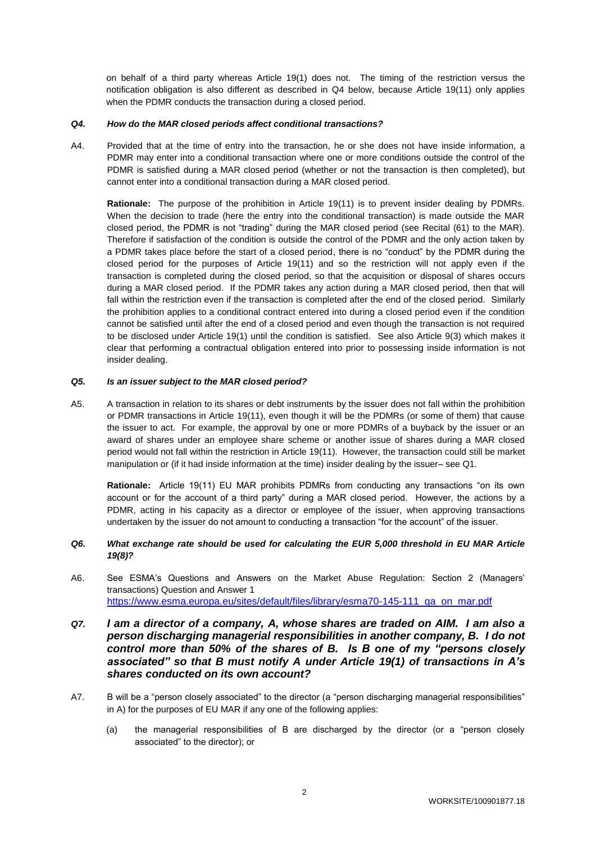on behalf of a third party whereas Article 19(1) does not. The timing of the restriction versus the notification obligation is also different as described in Q4 below, because Article 19(11) only applies when the PDMR conducts the transaction during a closed period.

## *Q4. How do the MAR closed periods affect conditional transactions?*

A4. Provided that at the time of entry into the transaction, he or she does not have inside information, a PDMR may enter into a conditional transaction where one or more conditions outside the control of the PDMR is satisfied during a MAR closed period (whether or not the transaction is then completed), but cannot enter into a conditional transaction during a MAR closed period.

**Rationale:** The purpose of the prohibition in Article 19(11) is to prevent insider dealing by PDMRs. When the decision to trade (here the entry into the conditional transaction) is made outside the MAR closed period, the PDMR is not "trading" during the MAR closed period (see Recital (61) to the MAR). Therefore if satisfaction of the condition is outside the control of the PDMR and the only action taken by a PDMR takes place before the start of a closed period, there is no "conduct" by the PDMR during the closed period for the purposes of Article 19(11) and so the restriction will not apply even if the transaction is completed during the closed period, so that the acquisition or disposal of shares occurs during a MAR closed period. If the PDMR takes any action during a MAR closed period, then that will fall within the restriction even if the transaction is completed after the end of the closed period. Similarly the prohibition applies to a conditional contract entered into during a closed period even if the condition cannot be satisfied until after the end of a closed period and even though the transaction is not required to be disclosed under Article 19(1) until the condition is satisfied. See also Article 9(3) which makes it clear that performing a contractual obligation entered into prior to possessing inside information is not insider dealing.

### *Q5. Is an issuer subject to the MAR closed period?*

A5. A transaction in relation to its shares or debt instruments by the issuer does not fall within the prohibition or PDMR transactions in Article 19(11), even though it will be the PDMRs (or some of them) that cause the issuer to act. For example, the approval by one or more PDMRs of a buyback by the issuer or an award of shares under an employee share scheme or another issue of shares during a MAR closed period would not fall within the restriction in Article 19(11). However, the transaction could still be market manipulation or (if it had inside information at the time) insider dealing by the issuer– see Q1.

**Rationale:** Article 19(11) EU MAR prohibits PDMRs from conducting any transactions "on its own account or for the account of a third party" during a MAR closed period. However, the actions by a PDMR, acting in his capacity as a director or employee of the issuer, when approving transactions undertaken by the issuer do not amount to conducting a transaction "for the account" of the issuer.

# *Q6. What exchange rate should be used for calculating the EUR 5,000 threshold in EU MAR Article 19(8)?*

A6. See ESMA's Questions and Answers on the Market Abuse Regulation: Section 2 (Managers' transactions) Question and Answer 1 [https://www.esma.europa.eu/sites/default/files/library/esma70-145-111\\_qa\\_on\\_mar.pdf](https://www.esma.europa.eu/sites/default/files/library/esma70-145-111_qa_on_mar.pdf)

# *Q7. I am a director of a company, A, whose shares are traded on AIM. I am also a person discharging managerial responsibilities in another company, B. I do not control more than 50% of the shares of B. Is B one of my "persons closely associated" so that B must notify A under Article 19(1) of transactions in A's shares conducted on its own account?*

- A7. B will be a "person closely associated" to the director (a "person discharging managerial responsibilities" in A) for the purposes of EU MAR if any one of the following applies:
	- (a) the managerial responsibilities of B are discharged by the director (or a "person closely associated" to the director); or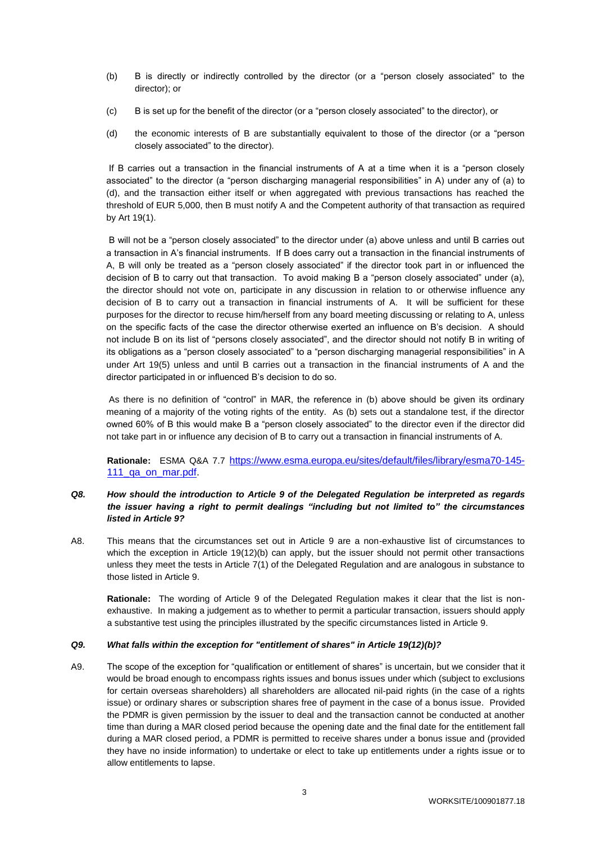- (b) B is directly or indirectly controlled by the director (or a "person closely associated" to the director); or
- (c) B is set up for the benefit of the director (or a "person closely associated" to the director), or
- (d) the economic interests of B are substantially equivalent to those of the director (or a "person closely associated" to the director).

If B carries out a transaction in the financial instruments of A at a time when it is a "person closely associated" to the director (a "person discharging managerial responsibilities" in A) under any of (a) to (d), and the transaction either itself or when aggregated with previous transactions has reached the threshold of EUR 5,000, then B must notify A and the Competent authority of that transaction as required by Art 19(1).

B will not be a "person closely associated" to the director under (a) above unless and until B carries out a transaction in A's financial instruments. If B does carry out a transaction in the financial instruments of A, B will only be treated as a "person closely associated" if the director took part in or influenced the decision of B to carry out that transaction. To avoid making B a "person closely associated" under (a), the director should not vote on, participate in any discussion in relation to or otherwise influence any decision of B to carry out a transaction in financial instruments of A. It will be sufficient for these purposes for the director to recuse him/herself from any board meeting discussing or relating to A, unless on the specific facts of the case the director otherwise exerted an influence on B's decision. A should not include B on its list of "persons closely associated", and the director should not notify B in writing of its obligations as a "person closely associated" to a "person discharging managerial responsibilities" in A under Art 19(5) unless and until B carries out a transaction in the financial instruments of A and the director participated in or influenced B's decision to do so.

As there is no definition of "control" in MAR, the reference in (b) above should be given its ordinary meaning of a majority of the voting rights of the entity. As (b) sets out a standalone test, if the director owned 60% of B this would make B a "person closely associated" to the director even if the director did not take part in or influence any decision of B to carry out a transaction in financial instruments of A.

**Rationale:** ESMA Q&A 7.7 [https://www.esma.europa.eu/sites/default/files/library/esma70-145-](https://www.esma.europa.eu/sites/default/files/library/esma70-145-111_qa_on_mar.pdf) 111\_qa\_on\_mar.pdf

# *Q8. How should the introduction to Article 9 of the Delegated Regulation be interpreted as regards the issuer having a right to permit dealings "including but not limited to" the circumstances listed in Article 9?*

A8. This means that the circumstances set out in Article 9 are a non-exhaustive list of circumstances to which the exception in Article 19(12)(b) can apply, but the issuer should not permit other transactions unless they meet the tests in Article 7(1) of the Delegated Regulation and are analogous in substance to those listed in Article 9.

**Rationale:** The wording of Article 9 of the Delegated Regulation makes it clear that the list is nonexhaustive. In making a judgement as to whether to permit a particular transaction, issuers should apply a substantive test using the principles illustrated by the specific circumstances listed in Article 9.

# *Q9. What falls within the exception for "entitlement of shares" in Article 19(12)(b)?*

A9. The scope of the exception for "qualification or entitlement of shares" is uncertain, but we consider that it would be broad enough to encompass rights issues and bonus issues under which (subject to exclusions for certain overseas shareholders) all shareholders are allocated nil-paid rights (in the case of a rights issue) or ordinary shares or subscription shares free of payment in the case of a bonus issue. Provided the PDMR is given permission by the issuer to deal and the transaction cannot be conducted at another time than during a MAR closed period because the opening date and the final date for the entitlement fall during a MAR closed period, a PDMR is permitted to receive shares under a bonus issue and (provided they have no inside information) to undertake or elect to take up entitlements under a rights issue or to allow entitlements to lapse.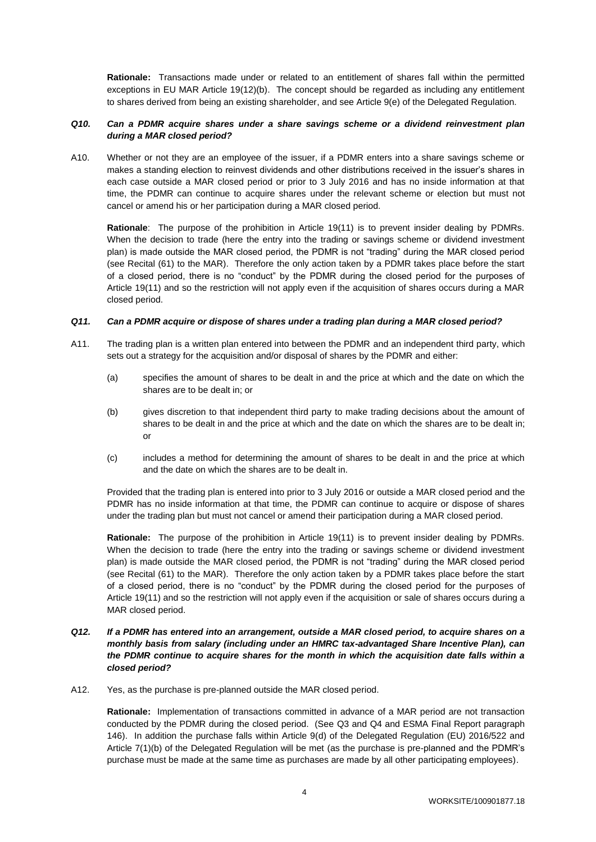**Rationale:** Transactions made under or related to an entitlement of shares fall within the permitted exceptions in EU MAR Article 19(12)(b). The concept should be regarded as including any entitlement to shares derived from being an existing shareholder, and see Article 9(e) of the Delegated Regulation.

## *Q10. Can a PDMR acquire shares under a share savings scheme or a dividend reinvestment plan during a MAR closed period?*

A10. Whether or not they are an employee of the issuer, if a PDMR enters into a share savings scheme or makes a standing election to reinvest dividends and other distributions received in the issuer's shares in each case outside a MAR closed period or prior to 3 July 2016 and has no inside information at that time, the PDMR can continue to acquire shares under the relevant scheme or election but must not cancel or amend his or her participation during a MAR closed period.

**Rationale**: The purpose of the prohibition in Article 19(11) is to prevent insider dealing by PDMRs. When the decision to trade (here the entry into the trading or savings scheme or dividend investment plan) is made outside the MAR closed period, the PDMR is not "trading" during the MAR closed period (see Recital (61) to the MAR). Therefore the only action taken by a PDMR takes place before the start of a closed period, there is no "conduct" by the PDMR during the closed period for the purposes of Article 19(11) and so the restriction will not apply even if the acquisition of shares occurs during a MAR closed period.

### *Q11. Can a PDMR acquire or dispose of shares under a trading plan during a MAR closed period?*

- A11. The trading plan is a written plan entered into between the PDMR and an independent third party, which sets out a strategy for the acquisition and/or disposal of shares by the PDMR and either:
	- (a) specifies the amount of shares to be dealt in and the price at which and the date on which the shares are to be dealt in; or
	- (b) gives discretion to that independent third party to make trading decisions about the amount of shares to be dealt in and the price at which and the date on which the shares are to be dealt in; or
	- (c) includes a method for determining the amount of shares to be dealt in and the price at which and the date on which the shares are to be dealt in.

Provided that the trading plan is entered into prior to 3 July 2016 or outside a MAR closed period and the PDMR has no inside information at that time, the PDMR can continue to acquire or dispose of shares under the trading plan but must not cancel or amend their participation during a MAR closed period.

**Rationale:** The purpose of the prohibition in Article 19(11) is to prevent insider dealing by PDMRs. When the decision to trade (here the entry into the trading or savings scheme or dividend investment plan) is made outside the MAR closed period, the PDMR is not "trading" during the MAR closed period (see Recital (61) to the MAR). Therefore the only action taken by a PDMR takes place before the start of a closed period, there is no "conduct" by the PDMR during the closed period for the purposes of Article 19(11) and so the restriction will not apply even if the acquisition or sale of shares occurs during a MAR closed period.

# *Q12. If a PDMR has entered into an arrangement, outside a MAR closed period, to acquire shares on a monthly basis from salary (including under an HMRC tax-advantaged Share Incentive Plan), can the PDMR continue to acquire shares for the month in which the acquisition date falls within a closed period?*

A12. Yes, as the purchase is pre-planned outside the MAR closed period.

**Rationale:** Implementation of transactions committed in advance of a MAR period are not transaction conducted by the PDMR during the closed period. (See Q3 and Q4 and ESMA Final Report paragraph 146). In addition the purchase falls within Article 9(d) of the Delegated Regulation (EU) 2016/522 and Article 7(1)(b) of the Delegated Regulation will be met (as the purchase is pre-planned and the PDMR's purchase must be made at the same time as purchases are made by all other participating employees).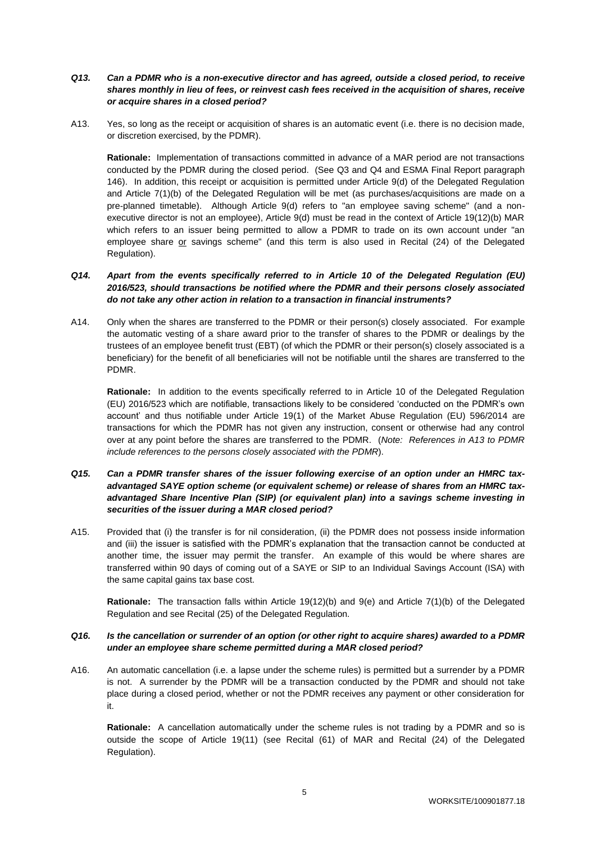- *Q13. Can a PDMR who is a non-executive director and has agreed, outside a closed period, to receive shares monthly in lieu of fees, or reinvest cash fees received in the acquisition of shares, receive or acquire shares in a closed period?*
- A13. Yes, so long as the receipt or acquisition of shares is an automatic event (i.e. there is no decision made, or discretion exercised, by the PDMR).

**Rationale:** Implementation of transactions committed in advance of a MAR period are not transactions conducted by the PDMR during the closed period. (See Q3 and Q4 and ESMA Final Report paragraph 146). In addition, this receipt or acquisition is permitted under Article 9(d) of the Delegated Regulation and Article 7(1)(b) of the Delegated Regulation will be met (as purchases/acquisitions are made on a pre-planned timetable). Although Article 9(d) refers to "an employee saving scheme" (and a nonexecutive director is not an employee), Article 9(d) must be read in the context of Article 19(12)(b) MAR which refers to an issuer being permitted to allow a PDMR to trade on its own account under "an employee share or savings scheme" (and this term is also used in Recital (24) of the Delegated Regulation).

# *Q14. Apart from the events specifically referred to in Article 10 of the Delegated Regulation (EU) 2016/523, should transactions be notified where the PDMR and their persons closely associated do not take any other action in relation to a transaction in financial instruments?*

A14. Only when the shares are transferred to the PDMR or their person(s) closely associated. For example the automatic vesting of a share award prior to the transfer of shares to the PDMR or dealings by the trustees of an employee benefit trust (EBT) (of which the PDMR or their person(s) closely associated is a beneficiary) for the benefit of all beneficiaries will not be notifiable until the shares are transferred to the PDMR.

**Rationale:** In addition to the events specifically referred to in Article 10 of the Delegated Regulation (EU) 2016/523 which are notifiable, transactions likely to be considered 'conducted on the PDMR's own account' and thus notifiable under Article 19(1) of the Market Abuse Regulation (EU) 596/2014 are transactions for which the PDMR has not given any instruction, consent or otherwise had any control over at any point before the shares are transferred to the PDMR. (*Note: References in A13 to PDMR include references to the persons closely associated with the PDMR*).

# *Q15. Can a PDMR transfer shares of the issuer following exercise of an option under an HMRC taxadvantaged SAYE option scheme (or equivalent scheme) or release of shares from an HMRC taxadvantaged Share Incentive Plan (SIP) (or equivalent plan) into a savings scheme investing in securities of the issuer during a MAR closed period?*

A15. Provided that (i) the transfer is for nil consideration, (ii) the PDMR does not possess inside information and (iii) the issuer is satisfied with the PDMR's explanation that the transaction cannot be conducted at another time, the issuer may permit the transfer. An example of this would be where shares are transferred within 90 days of coming out of a SAYE or SIP to an Individual Savings Account (ISA) with the same capital gains tax base cost.

**Rationale:** The transaction falls within Article 19(12)(b) and 9(e) and Article 7(1)(b) of the Delegated Regulation and see Recital (25) of the Delegated Regulation.

# *Q16. Is the cancellation or surrender of an option (or other right to acquire shares) awarded to a PDMR under an employee share scheme permitted during a MAR closed period?*

A16. An automatic cancellation (i.e. a lapse under the scheme rules) is permitted but a surrender by a PDMR is not. A surrender by the PDMR will be a transaction conducted by the PDMR and should not take place during a closed period, whether or not the PDMR receives any payment or other consideration for it.

**Rationale:** A cancellation automatically under the scheme rules is not trading by a PDMR and so is outside the scope of Article 19(11) (see Recital (61) of MAR and Recital (24) of the Delegated Regulation).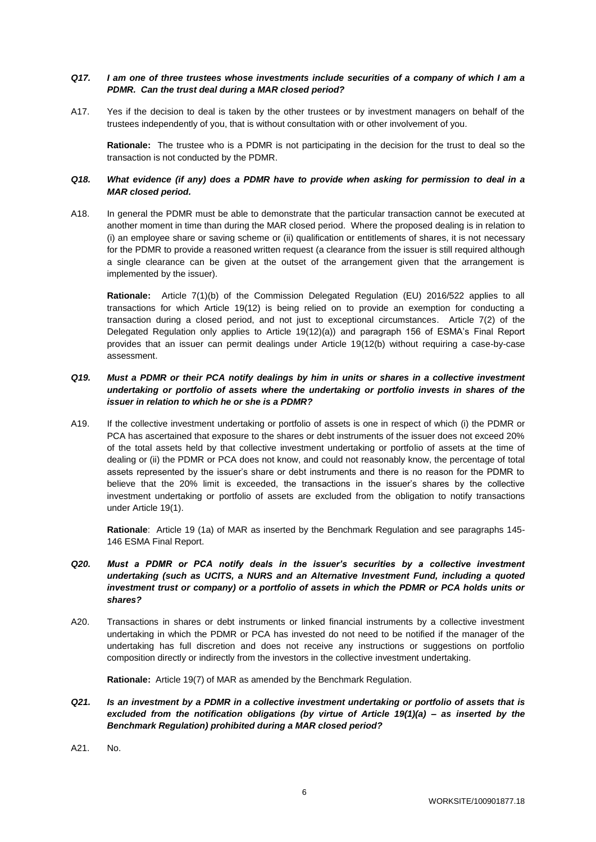# *Q17. I am one of three trustees whose investments include securities of a company of which I am a PDMR. Can the trust deal during a MAR closed period?*

A17. Yes if the decision to deal is taken by the other trustees or by investment managers on behalf of the trustees independently of you, that is without consultation with or other involvement of you.

**Rationale:** The trustee who is a PDMR is not participating in the decision for the trust to deal so the transaction is not conducted by the PDMR.

## *Q18. What evidence (if any) does a PDMR have to provide when asking for permission to deal in a MAR closed period.*

A18. In general the PDMR must be able to demonstrate that the particular transaction cannot be executed at another moment in time than during the MAR closed period. Where the proposed dealing is in relation to (i) an employee share or saving scheme or (ii) qualification or entitlements of shares, it is not necessary for the PDMR to provide a reasoned written request (a clearance from the issuer is still required although a single clearance can be given at the outset of the arrangement given that the arrangement is implemented by the issuer).

**Rationale:** Article 7(1)(b) of the Commission Delegated Regulation (EU) 2016/522 applies to all transactions for which Article 19(12) is being relied on to provide an exemption for conducting a transaction during a closed period, and not just to exceptional circumstances. Article 7(2) of the Delegated Regulation only applies to Article 19(12)(a)) and paragraph 156 of ESMA's Final Report provides that an issuer can permit dealings under Article 19(12(b) without requiring a case-by-case assessment.

# *Q19. Must a PDMR or their PCA notify dealings by him in units or shares in a collective investment undertaking or portfolio of assets where the undertaking or portfolio invests in shares of the issuer in relation to which he or she is a PDMR?*

A19. If the collective investment undertaking or portfolio of assets is one in respect of which (i) the PDMR or PCA has ascertained that exposure to the shares or debt instruments of the issuer does not exceed 20% of the total assets held by that collective investment undertaking or portfolio of assets at the time of dealing or (ii) the PDMR or PCA does not know, and could not reasonably know, the percentage of total assets represented by the issuer's share or debt instruments and there is no reason for the PDMR to believe that the 20% limit is exceeded, the transactions in the issuer's shares by the collective investment undertaking or portfolio of assets are excluded from the obligation to notify transactions under Article 19(1).

**Rationale**: Article 19 (1a) of MAR as inserted by the Benchmark Regulation and see paragraphs 145- 146 ESMA Final Report.

- *Q20. Must a PDMR or PCA notify deals in the issuer's securities by a collective investment undertaking (such as UCITS, a NURS and an Alternative Investment Fund, including a quoted*  investment trust or company) or a portfolio of assets in which the PDMR or PCA holds units or *shares?*
- A20. Transactions in shares or debt instruments or linked financial instruments by a collective investment undertaking in which the PDMR or PCA has invested do not need to be notified if the manager of the undertaking has full discretion and does not receive any instructions or suggestions on portfolio composition directly or indirectly from the investors in the collective investment undertaking.

**Rationale:** Article 19(7) of MAR as amended by the Benchmark Regulation.

- *Q21. Is an investment by a PDMR in a collective investment undertaking or portfolio of assets that is excluded from the notification obligations (by virtue of Article 19(1)(a) – as inserted by the Benchmark Regulation) prohibited during a MAR closed period?*
- A21. No.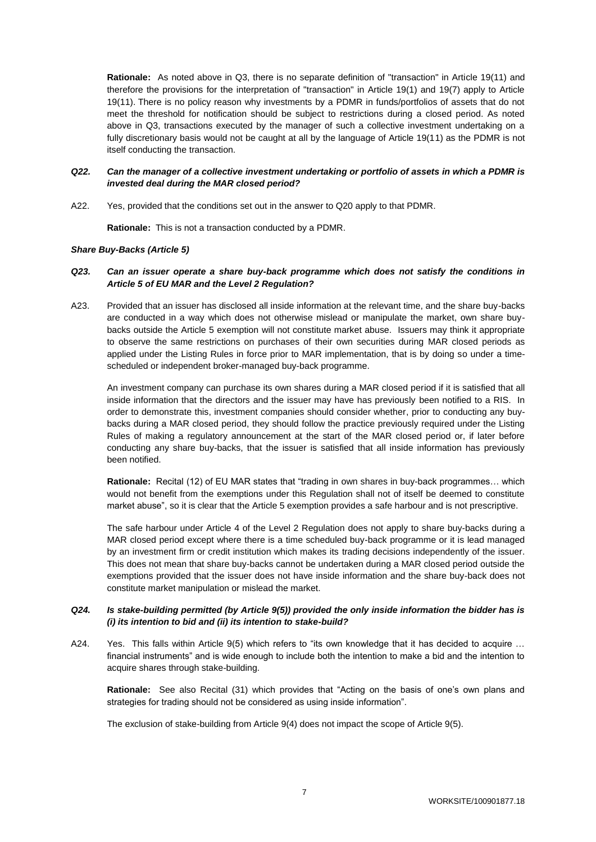**Rationale:** As noted above in Q3, there is no separate definition of "transaction" in Article 19(11) and therefore the provisions for the interpretation of "transaction" in Article 19(1) and 19(7) apply to Article 19(11). There is no policy reason why investments by a PDMR in funds/portfolios of assets that do not meet the threshold for notification should be subject to restrictions during a closed period. As noted above in Q3, transactions executed by the manager of such a collective investment undertaking on a fully discretionary basis would not be caught at all by the language of Article 19(11) as the PDMR is not itself conducting the transaction.

# *Q22. Can the manager of a collective investment undertaking or portfolio of assets in which a PDMR is invested deal during the MAR closed period?*

A22. Yes, provided that the conditions set out in the answer to Q20 apply to that PDMR.

**Rationale:** This is not a transaction conducted by a PDMR.

### *Share Buy-Backs (Article 5)*

## *Q23. Can an issuer operate a share buy-back programme which does not satisfy the conditions in Article 5 of EU MAR and the Level 2 Regulation?*

A23. Provided that an issuer has disclosed all inside information at the relevant time, and the share buy-backs are conducted in a way which does not otherwise mislead or manipulate the market, own share buybacks outside the Article 5 exemption will not constitute market abuse. Issuers may think it appropriate to observe the same restrictions on purchases of their own securities during MAR closed periods as applied under the Listing Rules in force prior to MAR implementation, that is by doing so under a timescheduled or independent broker-managed buy-back programme.

An investment company can purchase its own shares during a MAR closed period if it is satisfied that all inside information that the directors and the issuer may have has previously been notified to a RIS. In order to demonstrate this, investment companies should consider whether, prior to conducting any buybacks during a MAR closed period, they should follow the practice previously required under the Listing Rules of making a regulatory announcement at the start of the MAR closed period or, if later before conducting any share buy-backs, that the issuer is satisfied that all inside information has previously been notified.

**Rationale:** Recital (12) of EU MAR states that "trading in own shares in buy-back programmes… which would not benefit from the exemptions under this Regulation shall not of itself be deemed to constitute market abuse", so it is clear that the Article 5 exemption provides a safe harbour and is not prescriptive.

The safe harbour under Article 4 of the Level 2 Regulation does not apply to share buy-backs during a MAR closed period except where there is a time scheduled buy-back programme or it is lead managed by an investment firm or credit institution which makes its trading decisions independently of the issuer. This does not mean that share buy-backs cannot be undertaken during a MAR closed period outside the exemptions provided that the issuer does not have inside information and the share buy-back does not constitute market manipulation or mislead the market.

# *Q24. Is stake-building permitted (by Article 9(5)) provided the only inside information the bidder has is (i) its intention to bid and (ii) its intention to stake-build?*

A24. Yes. This falls within Article 9(5) which refers to "its own knowledge that it has decided to acquire ... financial instruments" and is wide enough to include both the intention to make a bid and the intention to acquire shares through stake-building.

**Rationale:** See also Recital (31) which provides that "Acting on the basis of one's own plans and strategies for trading should not be considered as using inside information".

The exclusion of stake-building from Article 9(4) does not impact the scope of Article 9(5).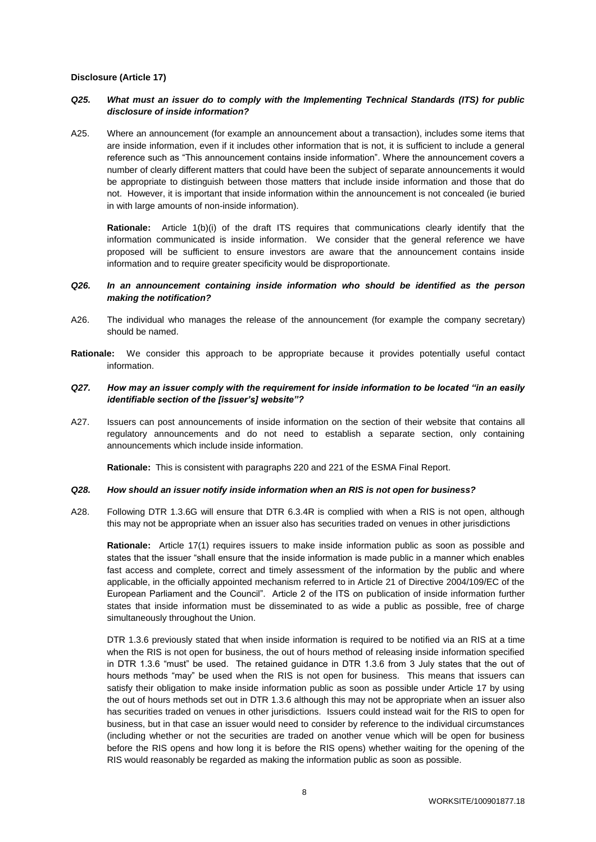#### **Disclosure (Article 17)**

# *Q25. What must an issuer do to comply with the Implementing Technical Standards (ITS) for public disclosure of inside information?*

A25. Where an announcement (for example an announcement about a transaction), includes some items that are inside information, even if it includes other information that is not, it is sufficient to include a general reference such as "This announcement contains inside information". Where the announcement covers a number of clearly different matters that could have been the subject of separate announcements it would be appropriate to distinguish between those matters that include inside information and those that do not. However, it is important that inside information within the announcement is not concealed (ie buried in with large amounts of non-inside information).

**Rationale:** Article 1(b)(i) of the draft ITS requires that communications clearly identify that the information communicated is inside information. We consider that the general reference we have proposed will be sufficient to ensure investors are aware that the announcement contains inside information and to require greater specificity would be disproportionate.

## *Q26. In an announcement containing inside information who should be identified as the person making the notification?*

- A26. The individual who manages the release of the announcement (for example the company secretary) should be named.
- **Rationale:** We consider this approach to be appropriate because it provides potentially useful contact information.

## *Q27. How may an issuer comply with the requirement for inside information to be located "in an easily identifiable section of the [issuer's] website"?*

A27. Issuers can post announcements of inside information on the section of their website that contains all regulatory announcements and do not need to establish a separate section, only containing announcements which include inside information.

**Rationale:** This is consistent with paragraphs 220 and 221 of the ESMA Final Report.

#### *Q28. How should an issuer notify inside information when an RIS is not open for business?*

A28. Following DTR 1.3.6G will ensure that DTR 6.3.4R is complied with when a RIS is not open, although this may not be appropriate when an issuer also has securities traded on venues in other jurisdictions

**Rationale:** Article 17(1) requires issuers to make inside information public as soon as possible and states that the issuer "shall ensure that the inside information is made public in a manner which enables fast access and complete, correct and timely assessment of the information by the public and where applicable, in the officially appointed mechanism referred to in Article 21 of Directive 2004/109/EC of the European Parliament and the Council". Article 2 of the ITS on publication of inside information further states that inside information must be disseminated to as wide a public as possible, free of charge simultaneously throughout the Union.

DTR 1.3.6 previously stated that when inside information is required to be notified via an RIS at a time when the RIS is not open for business, the out of hours method of releasing inside information specified in DTR 1.3.6 "must" be used. The retained guidance in DTR 1.3.6 from 3 July states that the out of hours methods "may" be used when the RIS is not open for business. This means that issuers can satisfy their obligation to make inside information public as soon as possible under Article 17 by using the out of hours methods set out in DTR 1.3.6 although this may not be appropriate when an issuer also has securities traded on venues in other jurisdictions. Issuers could instead wait for the RIS to open for business, but in that case an issuer would need to consider by reference to the individual circumstances (including whether or not the securities are traded on another venue which will be open for business before the RIS opens and how long it is before the RIS opens) whether waiting for the opening of the RIS would reasonably be regarded as making the information public as soon as possible.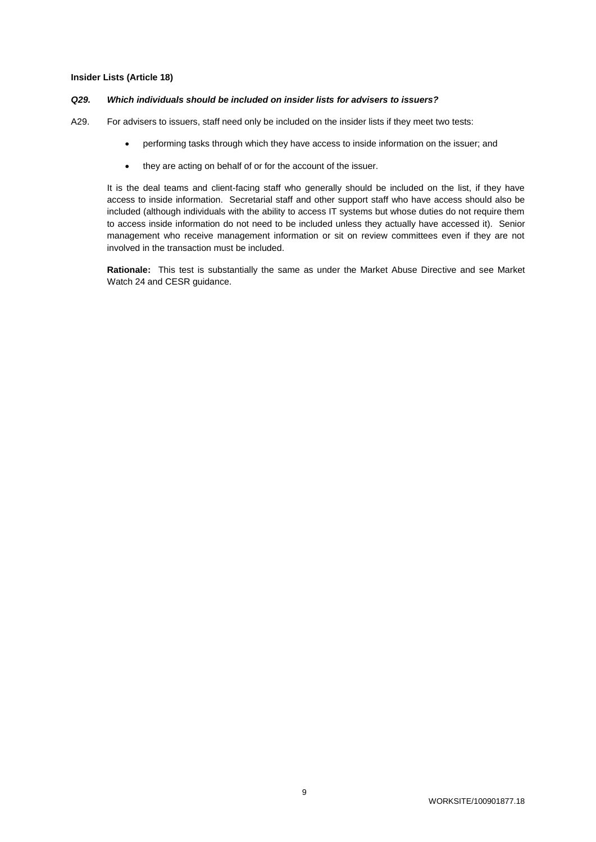#### **Insider Lists (Article 18)**

#### *Q29. Which individuals should be included on insider lists for advisers to issuers?*

A29. For advisers to issuers, staff need only be included on the insider lists if they meet two tests:

- performing tasks through which they have access to inside information on the issuer; and
- they are acting on behalf of or for the account of the issuer.

It is the deal teams and client-facing staff who generally should be included on the list, if they have access to inside information. Secretarial staff and other support staff who have access should also be included (although individuals with the ability to access IT systems but whose duties do not require them to access inside information do not need to be included unless they actually have accessed it). Senior management who receive management information or sit on review committees even if they are not involved in the transaction must be included.

**Rationale:** This test is substantially the same as under the Market Abuse Directive and see Market Watch 24 and CESR guidance.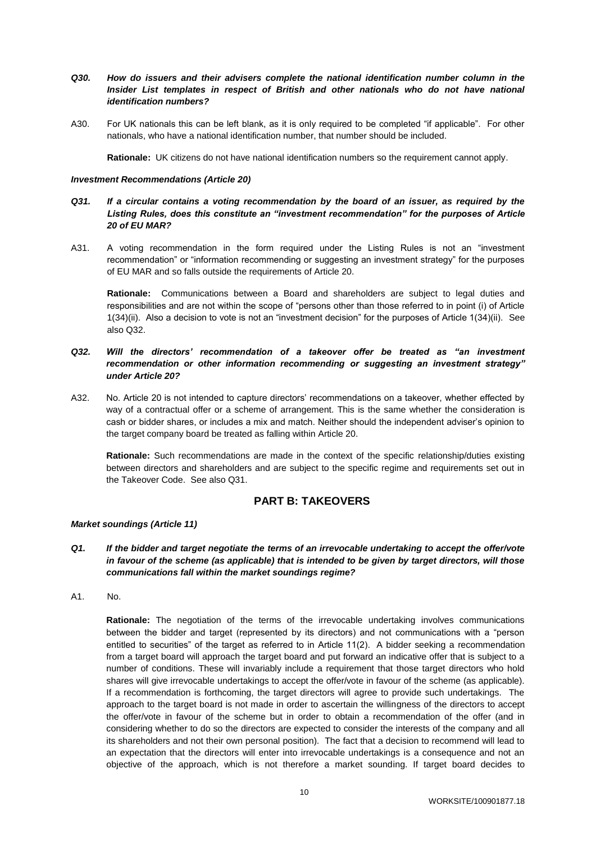# *Q30. How do issuers and their advisers complete the national identification number column in the Insider List templates in respect of British and other nationals who do not have national identification numbers?*

A30. For UK nationals this can be left blank, as it is only required to be completed "if applicable". For other nationals, who have a national identification number, that number should be included.

**Rationale:** UK citizens do not have national identification numbers so the requirement cannot apply.

### *Investment Recommendations (Article 20)*

- *Q31. If a circular contains a voting recommendation by the board of an issuer, as required by the Listing Rules, does this constitute an "investment recommendation" for the purposes of Article 20 of EU MAR?*
- A31. A voting recommendation in the form required under the Listing Rules is not an "investment recommendation" or "information recommending or suggesting an investment strategy" for the purposes of EU MAR and so falls outside the requirements of Article 20.

**Rationale:** Communications between a Board and shareholders are subject to legal duties and responsibilities and are not within the scope of "persons other than those referred to in point (i) of Article 1(34)(ii). Also a decision to vote is not an "investment decision" for the purposes of Article 1(34)(ii). See also Q32.

- *Q32. Will the directors' recommendation of a takeover offer be treated as "an investment recommendation or other information recommending or suggesting an investment strategy" under Article 20?*
- A32. No. Article 20 is not intended to capture directors' recommendations on a takeover, whether effected by way of a contractual offer or a scheme of arrangement. This is the same whether the consideration is cash or bidder shares, or includes a mix and match. Neither should the independent adviser's opinion to the target company board be treated as falling within Article 20.

**Rationale:** Such recommendations are made in the context of the specific relationship/duties existing between directors and shareholders and are subject to the specific regime and requirements set out in the Takeover Code. See also Q31.

# **PART B: TAKEOVERS**

# *Market soundings (Article 11)*

- *Q1. If the bidder and target negotiate the terms of an irrevocable undertaking to accept the offer/vote in favour of the scheme (as applicable) that is intended to be given by target directors, will those communications fall within the market soundings regime?*
- A1. No.

**Rationale:** The negotiation of the terms of the irrevocable undertaking involves communications between the bidder and target (represented by its directors) and not communications with a "person entitled to securities" of the target as referred to in Article 11(2). A bidder seeking a recommendation from a target board will approach the target board and put forward an indicative offer that is subject to a number of conditions. These will invariably include a requirement that those target directors who hold shares will give irrevocable undertakings to accept the offer/vote in favour of the scheme (as applicable). If a recommendation is forthcoming, the target directors will agree to provide such undertakings. The approach to the target board is not made in order to ascertain the willingness of the directors to accept the offer/vote in favour of the scheme but in order to obtain a recommendation of the offer (and in considering whether to do so the directors are expected to consider the interests of the company and all its shareholders and not their own personal position). The fact that a decision to recommend will lead to an expectation that the directors will enter into irrevocable undertakings is a consequence and not an objective of the approach, which is not therefore a market sounding. If target board decides to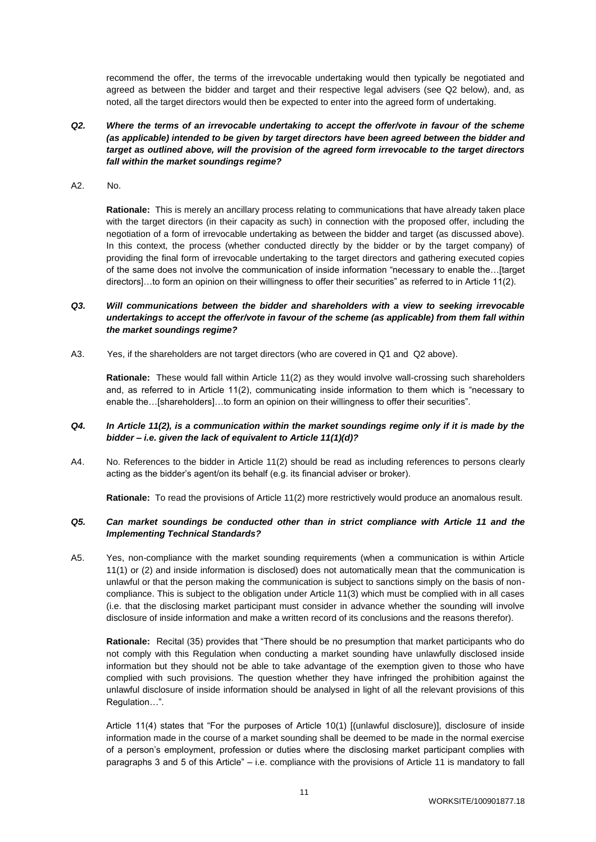recommend the offer, the terms of the irrevocable undertaking would then typically be negotiated and agreed as between the bidder and target and their respective legal advisers (see Q2 below), and, as noted, all the target directors would then be expected to enter into the agreed form of undertaking.

- *Q2. Where the terms of an irrevocable undertaking to accept the offer/vote in favour of the scheme (as applicable) intended to be given by target directors have been agreed between the bidder and target as outlined above, will the provision of the agreed form irrevocable to the target directors fall within the market soundings regime?*
- A2. No.

**Rationale:** This is merely an ancillary process relating to communications that have already taken place with the target directors (in their capacity as such) in connection with the proposed offer, including the negotiation of a form of irrevocable undertaking as between the bidder and target (as discussed above). In this context, the process (whether conducted directly by the bidder or by the target company) of providing the final form of irrevocable undertaking to the target directors and gathering executed copies of the same does not involve the communication of inside information "necessary to enable the…[target directors]…to form an opinion on their willingness to offer their securities" as referred to in Article 11(2).

# *Q3. Will communications between the bidder and shareholders with a view to seeking irrevocable undertakings to accept the offer/vote in favour of the scheme (as applicable) from them fall within the market soundings regime?*

A3. Yes, if the shareholders are not target directors (who are covered in Q1 and Q2 above).

**Rationale:** These would fall within Article 11(2) as they would involve wall-crossing such shareholders and, as referred to in Article 11(2), communicating inside information to them which is "necessary to enable the…[shareholders]…to form an opinion on their willingness to offer their securities".

# *Q4. In Article 11(2), is a communication within the market soundings regime only if it is made by the bidder – i.e. given the lack of equivalent to Article 11(1)(d)?*

A4. No. References to the bidder in Article 11(2) should be read as including references to persons clearly acting as the bidder's agent/on its behalf (e.g. its financial adviser or broker).

**Rationale:** To read the provisions of Article 11(2) more restrictively would produce an anomalous result.

# *Q5. Can market soundings be conducted other than in strict compliance with Article 11 and the Implementing Technical Standards?*

A5. Yes, non-compliance with the market sounding requirements (when a communication is within Article 11(1) or (2) and inside information is disclosed) does not automatically mean that the communication is unlawful or that the person making the communication is subject to sanctions simply on the basis of noncompliance. This is subject to the obligation under Article 11(3) which must be complied with in all cases (i.e. that the disclosing market participant must consider in advance whether the sounding will involve disclosure of inside information and make a written record of its conclusions and the reasons therefor).

**Rationale:** Recital (35) provides that "There should be no presumption that market participants who do not comply with this Regulation when conducting a market sounding have unlawfully disclosed inside information but they should not be able to take advantage of the exemption given to those who have complied with such provisions. The question whether they have infringed the prohibition against the unlawful disclosure of inside information should be analysed in light of all the relevant provisions of this Regulation…".

Article 11(4) states that "For the purposes of Article 10(1) [(unlawful disclosure)], disclosure of inside information made in the course of a market sounding shall be deemed to be made in the normal exercise of a person's employment, profession or duties where the disclosing market participant complies with paragraphs 3 and 5 of this Article" – i.e. compliance with the provisions of Article 11 is mandatory to fall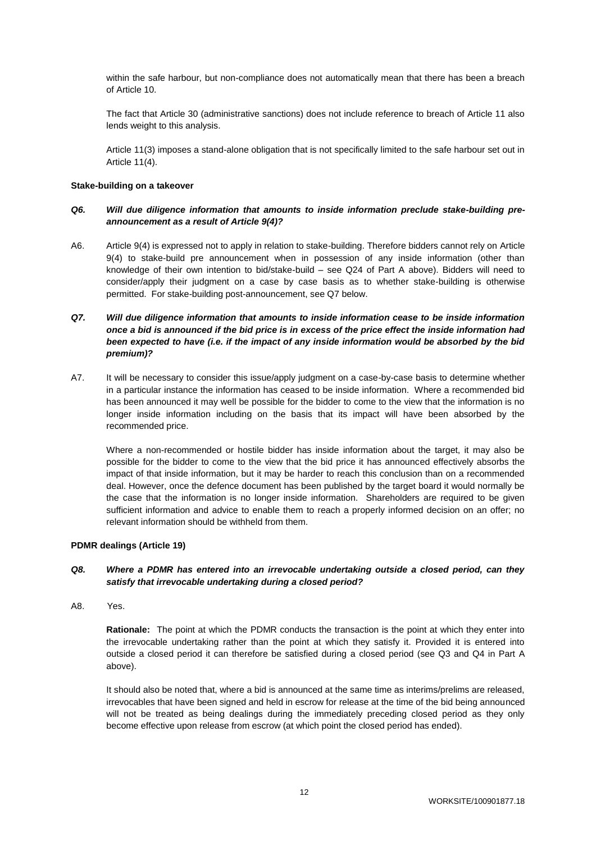within the safe harbour, but non-compliance does not automatically mean that there has been a breach of Article 10.

The fact that Article 30 (administrative sanctions) does not include reference to breach of Article 11 also lends weight to this analysis.

Article 11(3) imposes a stand-alone obligation that is not specifically limited to the safe harbour set out in Article 11(4).

#### **Stake-building on a takeover**

## *Q6. Will due diligence information that amounts to inside information preclude stake-building preannouncement as a result of Article 9(4)?*

A6. Article 9(4) is expressed not to apply in relation to stake-building. Therefore bidders cannot rely on Article 9(4) to stake-build pre announcement when in possession of any inside information (other than knowledge of their own intention to bid/stake-build – see Q24 of Part A above). Bidders will need to consider/apply their judgment on a case by case basis as to whether stake-building is otherwise permitted. For stake-building post-announcement, see Q7 below.

# *Q7. Will due diligence information that amounts to inside information cease to be inside information once a bid is announced if the bid price is in excess of the price effect the inside information had been expected to have (i.e. if the impact of any inside information would be absorbed by the bid premium)?*

A7. It will be necessary to consider this issue/apply judgment on a case-by-case basis to determine whether in a particular instance the information has ceased to be inside information. Where a recommended bid has been announced it may well be possible for the bidder to come to the view that the information is no longer inside information including on the basis that its impact will have been absorbed by the recommended price.

Where a non-recommended or hostile bidder has inside information about the target, it may also be possible for the bidder to come to the view that the bid price it has announced effectively absorbs the impact of that inside information, but it may be harder to reach this conclusion than on a recommended deal. However, once the defence document has been published by the target board it would normally be the case that the information is no longer inside information. Shareholders are required to be given sufficient information and advice to enable them to reach a properly informed decision on an offer; no relevant information should be withheld from them.

#### **PDMR dealings (Article 19)**

# *Q8. Where a PDMR has entered into an irrevocable undertaking outside a closed period, can they satisfy that irrevocable undertaking during a closed period?*

A8. Yes.

**Rationale:** The point at which the PDMR conducts the transaction is the point at which they enter into the irrevocable undertaking rather than the point at which they satisfy it. Provided it is entered into outside a closed period it can therefore be satisfied during a closed period (see Q3 and Q4 in Part A above).

It should also be noted that, where a bid is announced at the same time as interims/prelims are released, irrevocables that have been signed and held in escrow for release at the time of the bid being announced will not be treated as being dealings during the immediately preceding closed period as they only become effective upon release from escrow (at which point the closed period has ended).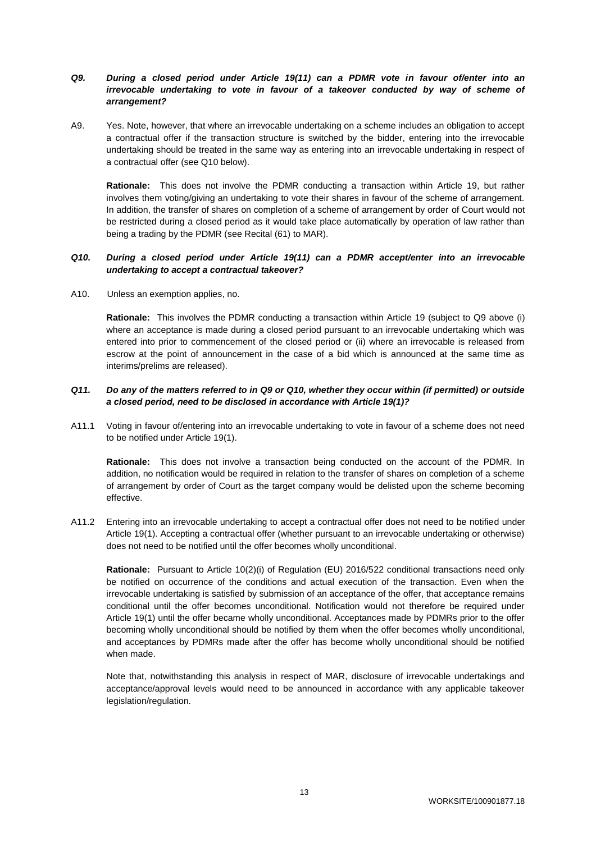# *Q9. During a closed period under Article 19(11) can a PDMR vote in favour of/enter into an irrevocable undertaking to vote in favour of a takeover conducted by way of scheme of arrangement?*

A9. Yes. Note, however, that where an irrevocable undertaking on a scheme includes an obligation to accept a contractual offer if the transaction structure is switched by the bidder, entering into the irrevocable undertaking should be treated in the same way as entering into an irrevocable undertaking in respect of a contractual offer (see Q10 below).

**Rationale:** This does not involve the PDMR conducting a transaction within Article 19, but rather involves them voting/giving an undertaking to vote their shares in favour of the scheme of arrangement. In addition, the transfer of shares on completion of a scheme of arrangement by order of Court would not be restricted during a closed period as it would take place automatically by operation of law rather than being a trading by the PDMR (see Recital (61) to MAR).

## *Q10. During a closed period under Article 19(11) can a PDMR accept/enter into an irrevocable undertaking to accept a contractual takeover?*

A10. Unless an exemption applies, no.

**Rationale:** This involves the PDMR conducting a transaction within Article 19 (subject to Q9 above (i) where an acceptance is made during a closed period pursuant to an irrevocable undertaking which was entered into prior to commencement of the closed period or (ii) where an irrevocable is released from escrow at the point of announcement in the case of a bid which is announced at the same time as interims/prelims are released).

# *Q11. Do any of the matters referred to in Q9 or Q10, whether they occur within (if permitted) or outside a closed period, need to be disclosed in accordance with Article 19(1)?*

A11.1 Voting in favour of/entering into an irrevocable undertaking to vote in favour of a scheme does not need to be notified under Article 19(1).

**Rationale:** This does not involve a transaction being conducted on the account of the PDMR. In addition, no notification would be required in relation to the transfer of shares on completion of a scheme of arrangement by order of Court as the target company would be delisted upon the scheme becoming effective.

A11.2 Entering into an irrevocable undertaking to accept a contractual offer does not need to be notified under Article 19(1). Accepting a contractual offer (whether pursuant to an irrevocable undertaking or otherwise) does not need to be notified until the offer becomes wholly unconditional.

**Rationale:** Pursuant to Article 10(2)(i) of Regulation (EU) 2016/522 conditional transactions need only be notified on occurrence of the conditions and actual execution of the transaction. Even when the irrevocable undertaking is satisfied by submission of an acceptance of the offer, that acceptance remains conditional until the offer becomes unconditional. Notification would not therefore be required under Article 19(1) until the offer became wholly unconditional. Acceptances made by PDMRs prior to the offer becoming wholly unconditional should be notified by them when the offer becomes wholly unconditional, and acceptances by PDMRs made after the offer has become wholly unconditional should be notified when made.

Note that, notwithstanding this analysis in respect of MAR, disclosure of irrevocable undertakings and acceptance/approval levels would need to be announced in accordance with any applicable takeover legislation/regulation.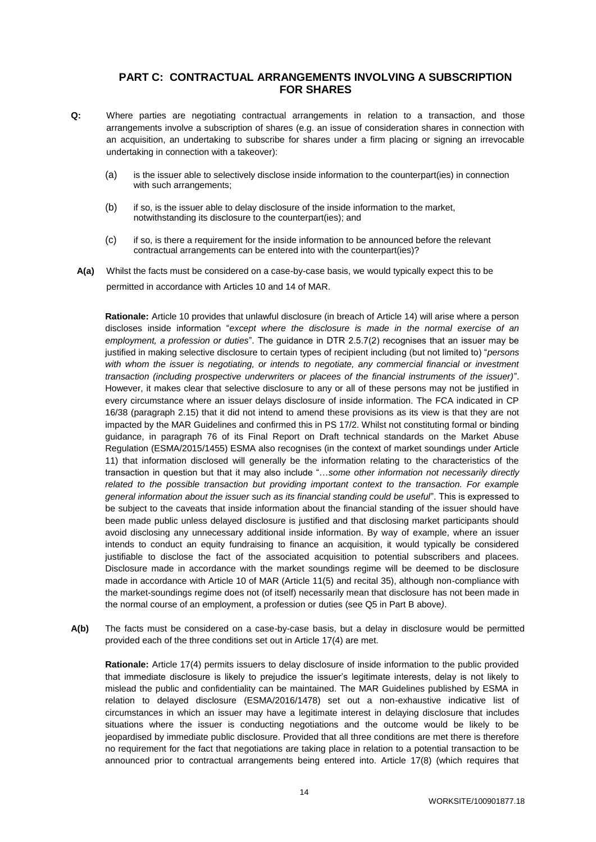# **PART C: CONTRACTUAL ARRANGEMENTS INVOLVING A SUBSCRIPTION FOR SHARES**

- **Q:** Where parties are negotiating contractual arrangements in relation to a transaction, and those arrangements involve a subscription of shares (e.g. an issue of consideration shares in connection with an acquisition, an undertaking to subscribe for shares under a firm placing or signing an irrevocable undertaking in connection with a takeover):
	- (a) is the issuer able to selectively disclose inside information to the counterpart(ies) in connection with such arrangements:
	- (b) if so, is the issuer able to delay disclosure of the inside information to the market, notwithstanding its disclosure to the counterpart(ies); and
	- (c) if so, is there a requirement for the inside information to be announced before the relevant contractual arrangements can be entered into with the counterpart(ies)?
	- **A(a)** Whilst the facts must be considered on a case-by-case basis, we would typically expect this to be permitted in accordance with Articles 10 and 14 of MAR.

**Rationale:** Article 10 provides that unlawful disclosure (in breach of Article 14) will arise where a person discloses inside information "*except where the disclosure is made in the normal exercise of an employment, a profession or duties*". The guidance in DTR 2.5.7(2) recognises that an issuer may be justified in making selective disclosure to certain types of recipient including (but not limited to) "*persons with whom the issuer is negotiating, or intends to negotiate, any commercial financial or investment transaction (including prospective underwriters or placees of the financial instruments of the issuer)*". However, it makes clear that selective disclosure to any or all of these persons may not be justified in every circumstance where an issuer delays disclosure of inside information. The FCA indicated in CP 16/38 (paragraph 2.15) that it did not intend to amend these provisions as its view is that they are not impacted by the MAR Guidelines and confirmed this in PS 17/2. Whilst not constituting formal or binding guidance, in paragraph 76 of its Final Report on Draft technical standards on the Market Abuse Regulation (ESMA/2015/1455) ESMA also recognises (in the context of market soundings under Article 11) that information disclosed will generally be the information relating to the characteristics of the transaction in question but that it may also include "…*some other information not necessarily directly related to the possible transaction but providing important context to the transaction. For example general information about the issuer such as its financial standing could be useful*". This is expressed to be subject to the caveats that inside information about the financial standing of the issuer should have been made public unless delayed disclosure is justified and that disclosing market participants should avoid disclosing any unnecessary additional inside information. By way of example, where an issuer intends to conduct an equity fundraising to finance an acquisition, it would typically be considered justifiable to disclose the fact of the associated acquisition to potential subscribers and placees. Disclosure made in accordance with the market soundings regime will be deemed to be disclosure made in accordance with Article 10 of MAR (Article 11(5) and recital 35), although non-compliance with the market-soundings regime does not (of itself) necessarily mean that disclosure has not been made in the normal course of an employment, a profession or duties (see Q5 in Part B above*)*.

**A(b)** The facts must be considered on a case-by-case basis, but a delay in disclosure would be permitted provided each of the three conditions set out in Article 17(4) are met.

**Rationale:** Article 17(4) permits issuers to delay disclosure of inside information to the public provided that immediate disclosure is likely to prejudice the issuer's legitimate interests, delay is not likely to mislead the public and confidentiality can be maintained. The MAR Guidelines published by ESMA in relation to delayed disclosure (ESMA/2016/1478) set out a non-exhaustive indicative list of circumstances in which an issuer may have a legitimate interest in delaying disclosure that includes situations where the issuer is conducting negotiations and the outcome would be likely to be jeopardised by immediate public disclosure. Provided that all three conditions are met there is therefore no requirement for the fact that negotiations are taking place in relation to a potential transaction to be announced prior to contractual arrangements being entered into. Article 17(8) (which requires that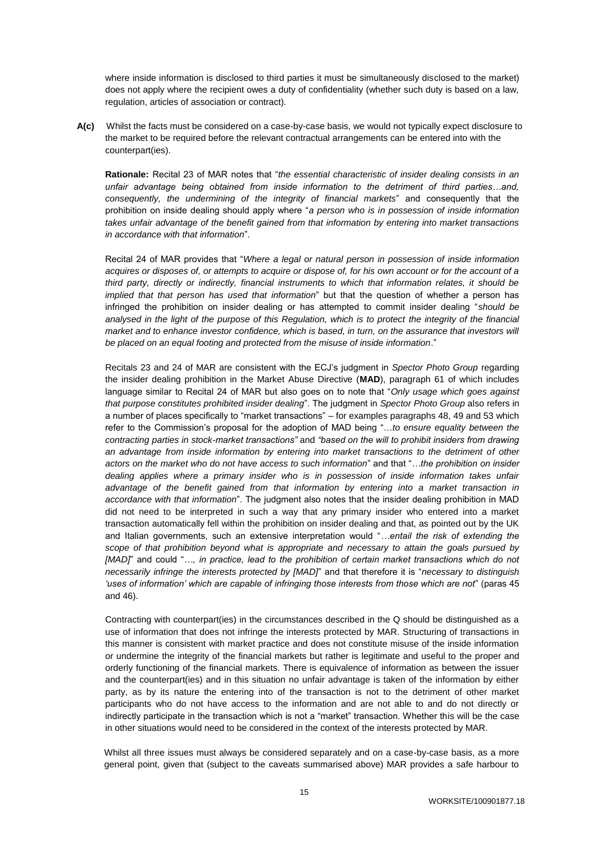where inside information is disclosed to third parties it must be simultaneously disclosed to the market) does not apply where the recipient owes a duty of confidentiality (whether such duty is based on a law, regulation, articles of association or contract).

**A(c)** Whilst the facts must be considered on a case-by-case basis, we would not typically expect disclosure to the market to be required before the relevant contractual arrangements can be entered into with the counterpart(ies).

**Rationale:** Recital 23 of MAR notes that "*the essential characteristic of insider dealing consists in an unfair advantage being obtained from inside information to the detriment of third parties…and, consequently, the undermining of the integrity of financial markets*" and consequently that the prohibition on inside dealing should apply where "*a person who is in possession of inside information takes unfair advantage of the benefit gained from that information by entering into market transactions in accordance with that information*".

Recital 24 of MAR provides that "*Where a legal or natural person in possession of inside information acquires or disposes of, or attempts to acquire or dispose of, for his own account or for the account of a third party, directly or indirectly, financial instruments to which that information relates, it should be implied that that person has used that information*" but that the question of whether a person has infringed the prohibition on insider dealing or has attempted to commit insider dealing "*should be analysed in the light of the purpose of this Regulation, which is to protect the integrity of the financial market and to enhance investor confidence, which is based, in turn, on the assurance that investors will be placed on an equal footing and protected from the misuse of inside information*."

Recitals 23 and 24 of MAR are consistent with the ECJ's judgment in *Spector Photo Group* regarding the insider dealing prohibition in the Market Abuse Directive (**MAD**), paragraph 61 of which includes language similar to Recital 24 of MAR but also goes on to note that "*Only usage which goes against that purpose constitutes prohibited insider dealing*". The judgment in *Spector Photo Group* also refers in a number of places specifically to "market transactions" – for examples paragraphs 48, 49 and 53 which refer to the Commission's proposal for the adoption of MAD being "…*to ensure equality between the contracting parties in stock-market transactions"* and *"based on the will to prohibit insiders from drawing an advantage from inside information by entering into market transactions to the detriment of other actors on the market who do not have access to such information*" and that "*…the prohibition on insider*  dealing applies where a primary insider who is in possession of inside information takes unfair *advantage of the benefit gained from that information by entering into a market transaction in accordance with that information*". The judgment also notes that the insider dealing prohibition in MAD did not need to be interpreted in such a way that any primary insider who entered into a market transaction automatically fell within the prohibition on insider dealing and that, as pointed out by the UK and Italian governments, such an extensive interpretation would "*…entail the risk of extending the scope of that prohibition beyond what is appropriate and necessary to attain the goals pursued by [MAD]*" and could "*…, in practice, lead to the prohibition of certain market transactions which do not necessarily infringe the interests protected by [MAD]*" and that therefore it is "*necessary to distinguish 'uses of information' which are capable of infringing those interests from those which are not*" (paras 45 and 46).

Contracting with counterpart(ies) in the circumstances described in the Q should be distinguished as a use of information that does not infringe the interests protected by MAR. Structuring of transactions in this manner is consistent with market practice and does not constitute misuse of the inside information or undermine the integrity of the financial markets but rather is legitimate and useful to the proper and orderly functioning of the financial markets. There is equivalence of information as between the issuer and the counterpart(ies) and in this situation no unfair advantage is taken of the information by either party, as by its nature the entering into of the transaction is not to the detriment of other market participants who do not have access to the information and are not able to and do not directly or indirectly participate in the transaction which is not a "market" transaction. Whether this will be the case in other situations would need to be considered in the context of the interests protected by MAR.

Whilst all three issues must always be considered separately and on a case-by-case basis, as a more general point, given that (subject to the caveats summarised above) MAR provides a safe harbour to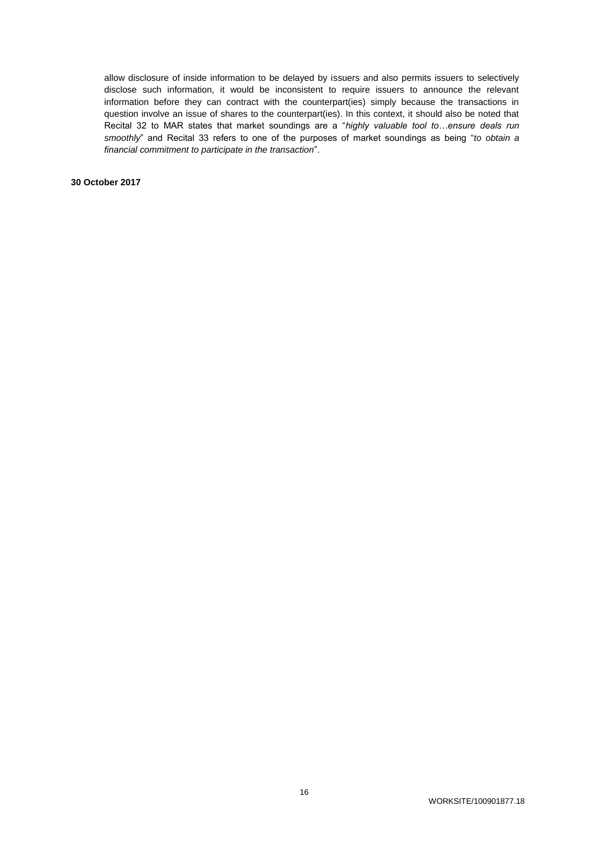allow disclosure of inside information to be delayed by issuers and also permits issuers to selectively disclose such information, it would be inconsistent to require issuers to announce the relevant information before they can contract with the counterpart(ies) simply because the transactions in question involve an issue of shares to the counterpart(ies). In this context, it should also be noted that Recital 32 to MAR states that market soundings are a "*highly valuable tool to…ensure deals run smoothly*" and Recital 33 refers to one of the purposes of market soundings as being "*to obtain a financial commitment to participate in the transaction*".

**30 October 2017**